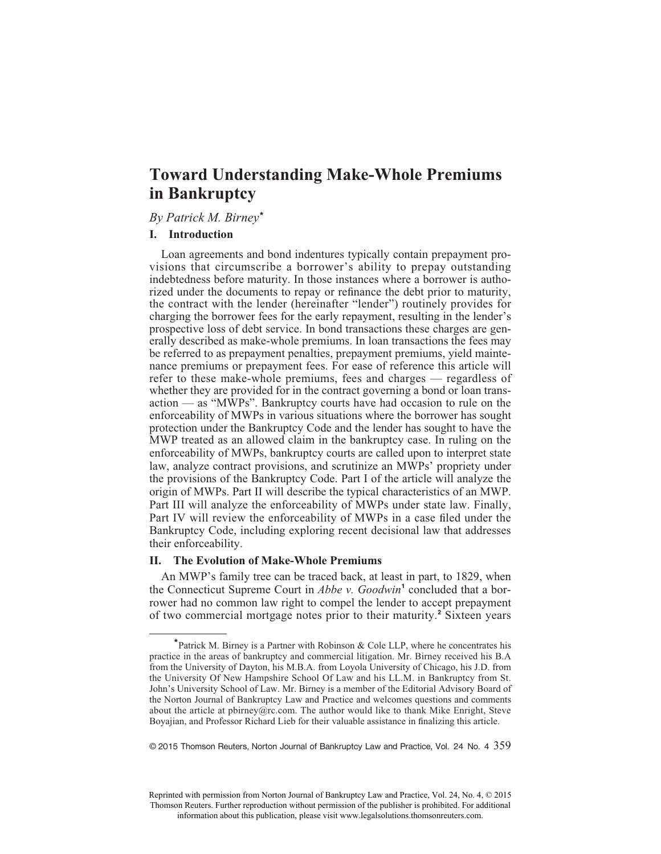## *By Patrick M. Birney***\***

### **I. Introduction**

Loan agreements and bond indentures typically contain prepayment provisions that circumscribe a borrower's ability to prepay outstanding indebtedness before maturity. In those instances where a borrower is authorized under the documents to repay or refinance the debt prior to maturity, the contract with the lender (hereinafter "lender") routinely provides for charging the borrower fees for the early repayment, resulting in the lender's prospective loss of debt service. In bond transactions these charges are generally described as make-whole premiums. In loan transactions the fees may be referred to as prepayment penalties, prepayment premiums, yield maintenance premiums or prepayment fees. For ease of reference this article will refer to these make-whole premiums, fees and charges — regardless of whether they are provided for in the contract governing a bond or loan transaction — as "MWPs". Bankruptcy courts have had occasion to rule on the enforceability of MWPs in various situations where the borrower has sought protection under the Bankruptcy Code and the lender has sought to have the MWP treated as an allowed claim in the bankruptcy case. In ruling on the enforceability of MWPs, bankruptcy courts are called upon to interpret state law, analyze contract provisions, and scrutinize an MWPs' propriety under the provisions of the Bankruptcy Code. Part I of the article will analyze the origin of MWPs. Part II will describe the typical characteristics of an MWP. Part III will analyze the enforceability of MWPs under state law. Finally, Part IV will review the enforceability of MWPs in a case filed under the Bankruptcy Code, including exploring recent decisional law that addresses their enforceability.

# **II. The Evolution of Make-Whole Premiums**

An MWP's family tree can be traced back, at least in part, to 1829, when the Connecticut Supreme Court in *Abbe v. Goodwin***<sup>1</sup>** concluded that a borrower had no common law right to compel the lender to accept prepayment of two commercial mortgage notes prior to their maturity.**<sup>2</sup>** Sixteen years

© 2015 Thomson Reuters, Norton Journal of Bankruptcy Law and Practice, Vol. 24 No. 4 359

**<sup>\*</sup>**Patrick M. Birney is a Partner with Robinson & Cole LLP, where he concentrates his practice in the areas of bankruptcy and commercial litigation. Mr. Birney received his B.A from the University of Dayton, his M.B.A. from Loyola University of Chicago, his J.D. from the University Of New Hampshire School Of Law and his LL.M. in Bankruptcy from St. John's University School of Law. Mr. Birney is a member of the Editorial Advisory Board of the Norton Journal of Bankruptcy Law and Practice and welcomes questions and comments about the article at pbirney@rc.com. The author would like to thank Mike Enright, Steve Boyajian, and Professor Richard Lieb for their valuable assistance in finalizing this article.

Reprinted with permission from Norton Journal of Bankruptcy Law and Practice, Vol. 24, No. 4, © 2015 Thomson Reuters. Further reproduction without permission of the publisher is prohibited. For additional information about this publication, please visit www.legalsolutions.thomsonreuters.com.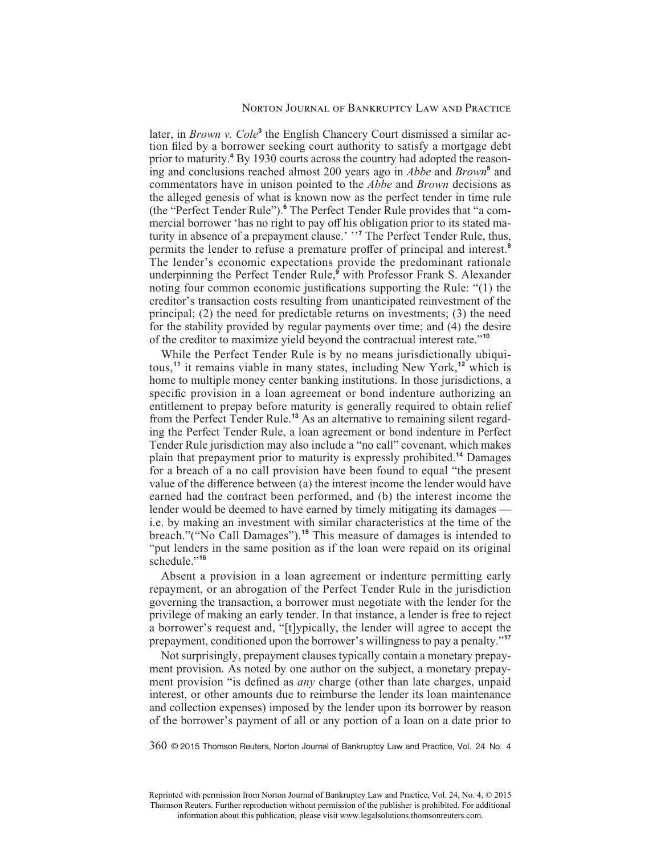#### Norton Journal of Bankruptcy Law and Practice

later, in *Brown v. Cole*<sup>3</sup> the English Chancery Court dismissed a similar action filed by a borrower seeking court authority to satisfy a mortgage debt prior to maturity.**<sup>4</sup>** By 1930 courts across the country had adopted the reasoning and conclusions reached almost 200 years ago in *Abbe* and *Brown***<sup>5</sup>** and commentators have in unison pointed to the *Abbe* and *Brown* decisions as the alleged genesis of what is known now as the perfect tender in time rule (the "Perfect Tender Rule").**<sup>6</sup>** The Perfect Tender Rule provides that "a commercial borrower 'has no right to pay off his obligation prior to its stated maturity in absence of a prepayment clause.' ''**<sup>7</sup>** The Perfect Tender Rule, thus, permits the lender to refuse a premature proffer of principal and interest.<sup>8</sup> The lender's economic expectations provide the predominant rationale underpinning the Perfect Tender Rule,**<sup>9</sup>** with Professor Frank S. Alexander noting four common economic justifications supporting the Rule: "(1) the creditor's transaction costs resulting from unanticipated reinvestment of the principal; (2) the need for predictable returns on investments; (3) the need for the stability provided by regular payments over time; and (4) the desire of the creditor to maximize yield beyond the contractual interest rate."**<sup>10</sup>**

While the Perfect Tender Rule is by no means jurisdictionally ubiquitous,**<sup>11</sup>** it remains viable in many states, including New York,**<sup>12</sup>** which is home to multiple money center banking institutions. In those jurisdictions, a specific provision in a loan agreement or bond indenture authorizing an entitlement to prepay before maturity is generally required to obtain relief from the Perfect Tender Rule.**<sup>13</sup>** As an alternative to remaining silent regarding the Perfect Tender Rule, a loan agreement or bond indenture in Perfect Tender Rule jurisdiction may also include a "no call" covenant, which makes plain that prepayment prior to maturity is expressly prohibited.**<sup>14</sup>** Damages for a breach of a no call provision have been found to equal "the present value of the difference between (a) the interest income the lender would have earned had the contract been performed, and (b) the interest income the lender would be deemed to have earned by timely mitigating its damages i.e. by making an investment with similar characteristics at the time of the breach."("No Call Damages").**<sup>15</sup>** This measure of damages is intended to "put lenders in the same position as if the loan were repaid on its original schedule."**<sup>16</sup>**

Absent a provision in a loan agreement or indenture permitting early repayment, or an abrogation of the Perfect Tender Rule in the jurisdiction governing the transaction, a borrower must negotiate with the lender for the privilege of making an early tender. In that instance, a lender is free to reject a borrower's request and, "[t]ypically, the lender will agree to accept the prepayment, conditioned upon the borrower's willingness to pay a penalty."**<sup>17</sup>**

Not surprisingly, prepayment clauses typically contain a monetary prepayment provision. As noted by one author on the subject, a monetary prepayment provision "is defined as *any* charge (other than late charges, unpaid interest, or other amounts due to reimburse the lender its loan maintenance and collection expenses) imposed by the lender upon its borrower by reason of the borrower's payment of all or any portion of a loan on a date prior to

360 © 2015 Thomson Reuters, Norton Journal of Bankruptcy Law and Practice, Vol. 24 No. 4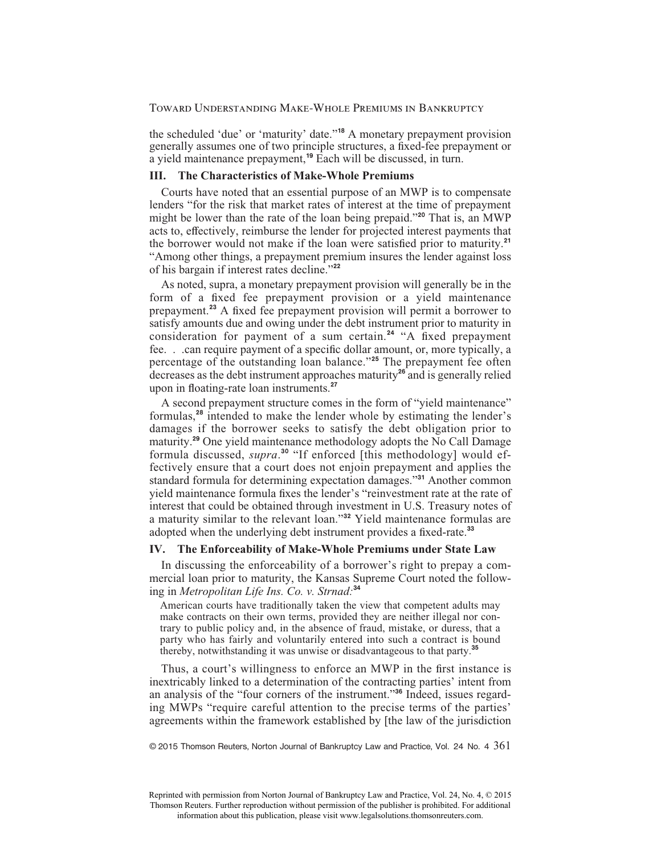the scheduled 'due' or 'maturity' date."**<sup>18</sup>** A monetary prepayment provision generally assumes one of two principle structures, a fixed-fee prepayment or a yield maintenance prepayment,**<sup>19</sup>** Each will be discussed, in turn.

# **III. The Characteristics of Make-Whole Premiums**

Courts have noted that an essential purpose of an MWP is to compensate lenders "for the risk that market rates of interest at the time of prepayment might be lower than the rate of the loan being prepaid."**<sup>20</sup>** That is, an MWP acts to, effectively, reimburse the lender for projected interest payments that the borrower would not make if the loan were satisfied prior to maturity.<sup>21</sup> "Among other things, a prepayment premium insures the lender against loss of his bargain if interest rates decline."**<sup>22</sup>**

As noted, supra, a monetary prepayment provision will generally be in the form of a fixed fee prepayment provision or a yield maintenance prepayment.<sup>23</sup> A fixed fee prepayment provision will permit a borrower to satisfy amounts due and owing under the debt instrument prior to maturity in consideration for payment of a sum certain.<sup>24</sup> "A fixed prepayment fee. . .can require payment of a specific dollar amount, or, more typically, a percentage of the outstanding loan balance."**<sup>25</sup>** The prepayment fee often decreases as the debt instrument approaches maturity**<sup>26</sup>** and is generally relied upon in floating-rate loan instruments.<sup>27</sup>

A second prepayment structure comes in the form of "yield maintenance" formulas,**<sup>28</sup>** intended to make the lender whole by estimating the lender's damages if the borrower seeks to satisfy the debt obligation prior to maturity.**<sup>29</sup>** One yield maintenance methodology adopts the No Call Damage formula discussed, *supra*. **<sup>30</sup>** "If enforced [this methodology] would effectively ensure that a court does not enjoin prepayment and applies the standard formula for determining expectation damages."**<sup>31</sup>** Another common yield maintenance formula fixes the lender's "reinvestment rate at the rate of interest that could be obtained through investment in U.S. Treasury notes of a maturity similar to the relevant loan."**<sup>32</sup>** Yield maintenance formulas are adopted when the underlying debt instrument provides a fixed-rate.<sup>33</sup>

#### **IV. The Enforceability of Make-Whole Premiums under State Law**

In discussing the enforceability of a borrower's right to prepay a commercial loan prior to maturity, the Kansas Supreme Court noted the following in *Metropolitan Life Ins. Co. v. Strnad:***<sup>34</sup>**

American courts have traditionally taken the view that competent adults may make contracts on their own terms, provided they are neither illegal nor contrary to public policy and, in the absence of fraud, mistake, or duress, that a party who has fairly and voluntarily entered into such a contract is bound thereby, notwithstanding it was unwise or disadvantageous to that party.**<sup>35</sup>**

Thus, a court's willingness to enforce an MWP in the first instance is inextricably linked to a determination of the contracting parties' intent from an analysis of the "four corners of the instrument."**<sup>36</sup>** Indeed, issues regarding MWPs "require careful attention to the precise terms of the parties' agreements within the framework established by [the law of the jurisdiction

 $\degree$  2015 Thomson Reuters, Norton Journal of Bankruptcy Law and Practice, Vol. 24 No. 4  $361$ 

Reprinted with permission from Norton Journal of Bankruptcy Law and Practice, Vol. 24, No. 4, © 2015 Thomson Reuters. Further reproduction without permission of the publisher is prohibited. For additional information about this publication, please visit www.legalsolutions.thomsonreuters.com.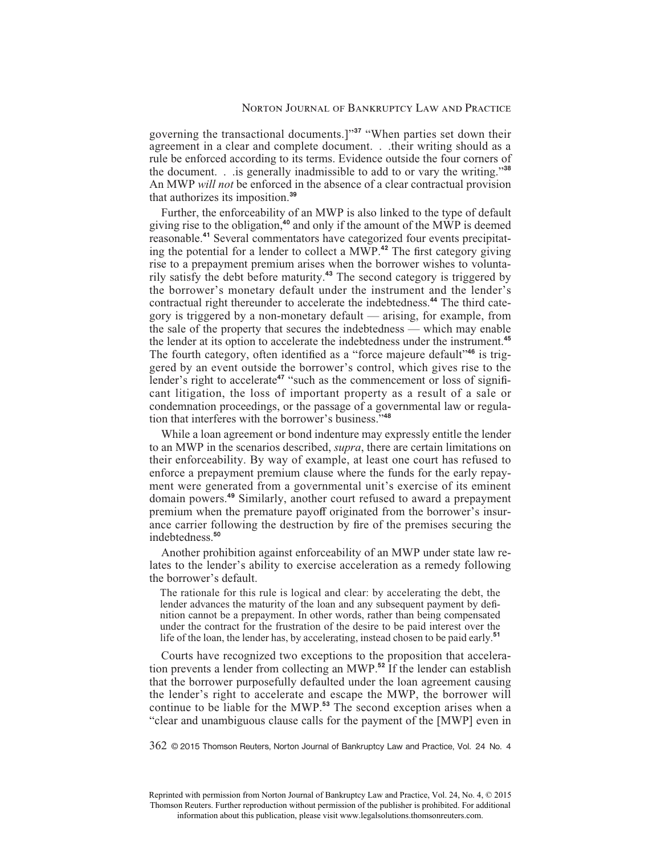governing the transactional documents.]"**<sup>37</sup>** "When parties set down their agreement in a clear and complete document. . .their writing should as a rule be enforced according to its terms. Evidence outside the four corners of the document. . .is generally inadmissible to add to or vary the writing."**<sup>38</sup>** An MWP *will not* be enforced in the absence of a clear contractual provision that authorizes its imposition.**<sup>39</sup>**

Further, the enforceability of an MWP is also linked to the type of default giving rise to the obligation,**<sup>40</sup>** and only if the amount of the MWP is deemed reasonable.**<sup>41</sup>** Several commentators have categorized four events precipitating the potential for a lender to collect a MWP.<sup>42</sup> The first category giving rise to a prepayment premium arises when the borrower wishes to voluntarily satisfy the debt before maturity.**<sup>43</sup>** The second category is triggered by the borrower's monetary default under the instrument and the lender's contractual right thereunder to accelerate the indebtedness.**<sup>44</sup>** The third category is triggered by a non-monetary default — arising, for example, from the sale of the property that secures the indebtedness — which may enable the lender at its option to accelerate the indebtedness under the instrument.**<sup>45</sup>** The fourth category, often identified as a "force majeure default"<sup>46</sup> is triggered by an event outside the borrower's control, which gives rise to the lender's right to accelerate<sup>47</sup> "such as the commencement or loss of significant litigation, the loss of important property as a result of a sale or condemnation proceedings, or the passage of a governmental law or regulation that interferes with the borrower's business."**<sup>48</sup>**

While a loan agreement or bond indenture may expressly entitle the lender to an MWP in the scenarios described, *supra*, there are certain limitations on their enforceability. By way of example, at least one court has refused to enforce a prepayment premium clause where the funds for the early repayment were generated from a governmental unit's exercise of its eminent domain powers.**<sup>49</sup>** Similarly, another court refused to award a prepayment premium when the premature payoff originated from the borrower's insurance carrier following the destruction by fire of the premises securing the indebtedness.**<sup>50</sup>**

Another prohibition against enforceability of an MWP under state law relates to the lender's ability to exercise acceleration as a remedy following the borrower's default.

The rationale for this rule is logical and clear: by accelerating the debt, the lender advances the maturity of the loan and any subsequent payment by definition cannot be a prepayment. In other words, rather than being compensated under the contract for the frustration of the desire to be paid interest over the life of the loan, the lender has, by accelerating, instead chosen to be paid early.**<sup>51</sup>**

Courts have recognized two exceptions to the proposition that acceleration prevents a lender from collecting an MWP.**<sup>52</sup>** If the lender can establish that the borrower purposefully defaulted under the loan agreement causing the lender's right to accelerate and escape the MWP, the borrower will continue to be liable for the MWP.**<sup>53</sup>** The second exception arises when a "clear and unambiguous clause calls for the payment of the [MWP] even in

362 © 2015 Thomson Reuters, Norton Journal of Bankruptcy Law and Practice, Vol. 24 No. 4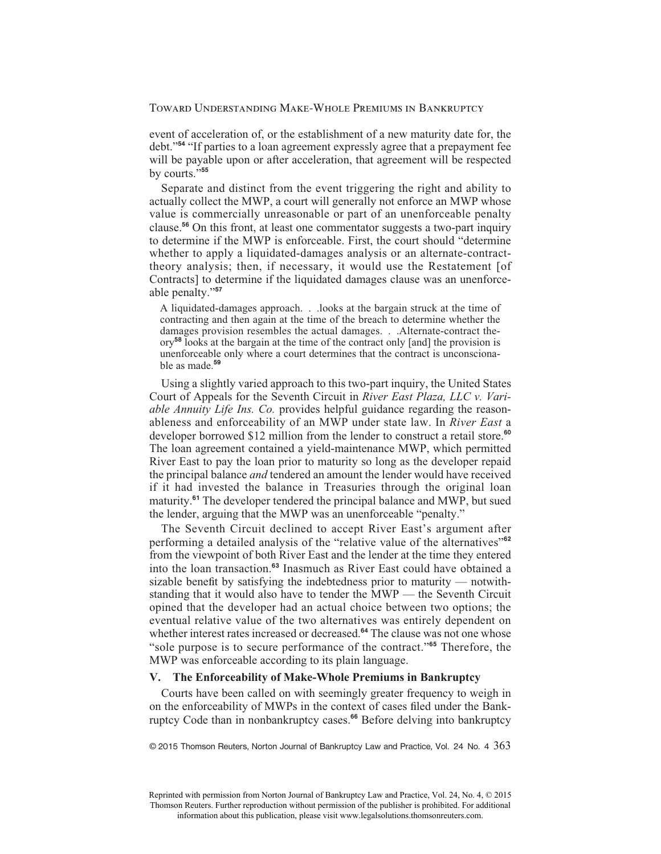event of acceleration of, or the establishment of a new maturity date for, the debt."**<sup>54</sup>** "If parties to a loan agreement expressly agree that a prepayment fee will be payable upon or after acceleration, that agreement will be respected by courts."**<sup>55</sup>**

Separate and distinct from the event triggering the right and ability to actually collect the MWP, a court will generally not enforce an MWP whose value is commercially unreasonable or part of an unenforceable penalty clause.**<sup>56</sup>** On this front, at least one commentator suggests a two-part inquiry to determine if the MWP is enforceable. First, the court should "determine whether to apply a liquidated-damages analysis or an alternate-contracttheory analysis; then, if necessary, it would use the Restatement [of Contracts] to determine if the liquidated damages clause was an unenforceable penalty."**<sup>57</sup>**

A liquidated-damages approach. . .looks at the bargain struck at the time of contracting and then again at the time of the breach to determine whether the damages provision resembles the actual damages. . .Alternate-contract theory**<sup>58</sup>** looks at the bargain at the time of the contract only [and] the provision is unenforceable only where a court determines that the contract is unconscionable as made.**<sup>59</sup>**

Using a slightly varied approach to this two-part inquiry, the United States Court of Appeals for the Seventh Circuit in *River East Plaza, LLC v. Variable Annuity Life Ins. Co.* provides helpful guidance regarding the reasonableness and enforceability of an MWP under state law. In *River East* a developer borrowed \$12 million from the lender to construct a retail store.**<sup>60</sup>** The loan agreement contained a yield-maintenance MWP, which permitted River East to pay the loan prior to maturity so long as the developer repaid the principal balance *and* tendered an amount the lender would have received if it had invested the balance in Treasuries through the original loan maturity.**<sup>61</sup>** The developer tendered the principal balance and MWP, but sued the lender, arguing that the MWP was an unenforceable "penalty."

The Seventh Circuit declined to accept River East's argument after performing a detailed analysis of the "relative value of the alternatives"**<sup>62</sup>** from the viewpoint of both River East and the lender at the time they entered into the loan transaction.**<sup>63</sup>** Inasmuch as River East could have obtained a sizable benefit by satisfying the indebtedness prior to maturity — notwithstanding that it would also have to tender the MWP — the Seventh Circuit opined that the developer had an actual choice between two options; the eventual relative value of the two alternatives was entirely dependent on whether interest rates increased or decreased.<sup>64</sup> The clause was not one whose "sole purpose is to secure performance of the contract."**<sup>65</sup>** Therefore, the MWP was enforceable according to its plain language.

## **V. The Enforceability of Make-Whole Premiums in Bankruptcy**

Courts have been called on with seemingly greater frequency to weigh in on the enforceability of MWPs in the context of cases filed under the Bankruptcy Code than in nonbankruptcy cases.**<sup>66</sup>** Before delving into bankruptcy

 $© 2015 Thomson Reuter, Norton Journal of Bankruptcy Law and Practice, Vol. 24 No. 4  $363$$ 

Reprinted with permission from Norton Journal of Bankruptcy Law and Practice, Vol. 24, No. 4, © 2015 Thomson Reuters. Further reproduction without permission of the publisher is prohibited. For additional information about this publication, please visit www.legalsolutions.thomsonreuters.com.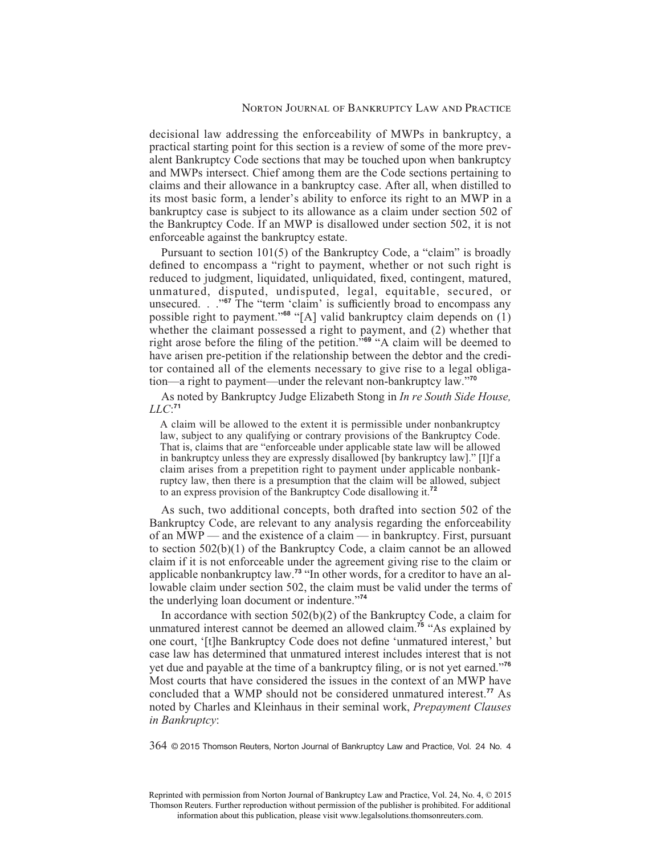decisional law addressing the enforceability of MWPs in bankruptcy, a practical starting point for this section is a review of some of the more prevalent Bankruptcy Code sections that may be touched upon when bankruptcy and MWPs intersect. Chief among them are the Code sections pertaining to claims and their allowance in a bankruptcy case. After all, when distilled to its most basic form, a lender's ability to enforce its right to an MWP in a bankruptcy case is subject to its allowance as a claim under section 502 of the Bankruptcy Code. If an MWP is disallowed under section 502, it is not enforceable against the bankruptcy estate.

Pursuant to section 101(5) of the Bankruptcy Code, a "claim" is broadly defined to encompass a "right to payment, whether or not such right is reduced to judgment, liquidated, unliquidated, fixed, contingent, matured, unmatured, disputed, undisputed, legal, equitable, secured, or unsecured. . .<sup>"67</sup> The "term 'claim' is sufficiently broad to encompass any possible right to payment."**<sup>68</sup>** "[A] valid bankruptcy claim depends on (1) whether the claimant possessed a right to payment, and (2) whether that right arose before the filing of the petition."<sup>69</sup> "A claim will be deemed to have arisen pre-petition if the relationship between the debtor and the creditor contained all of the elements necessary to give rise to a legal obligation—a right to payment—under the relevant non-bankruptcy law."**<sup>70</sup>**

As noted by Bankruptcy Judge Elizabeth Stong in *In re South Side House, LLC*: **71**

A claim will be allowed to the extent it is permissible under nonbankruptcy law, subject to any qualifying or contrary provisions of the Bankruptcy Code. That is, claims that are "enforceable under applicable state law will be allowed in bankruptcy unless they are expressly disallowed [by bankruptcy law]." [I]f a claim arises from a prepetition right to payment under applicable nonbankruptcy law, then there is a presumption that the claim will be allowed, subject to an express provision of the Bankruptcy Code disallowing it.**<sup>72</sup>**

As such, two additional concepts, both drafted into section 502 of the Bankruptcy Code, are relevant to any analysis regarding the enforceability of an MWP — and the existence of a claim — in bankruptcy. First, pursuant to section 502(b)(1) of the Bankruptcy Code, a claim cannot be an allowed claim if it is not enforceable under the agreement giving rise to the claim or applicable nonbankruptcy law.**<sup>73</sup>** "In other words, for a creditor to have an allowable claim under section 502, the claim must be valid under the terms of the underlying loan document or indenture."**<sup>74</sup>**

In accordance with section 502(b)(2) of the Bankruptcy Code, a claim for unmatured interest cannot be deemed an allowed claim.**<sup>75</sup>** "As explained by one court, '[t]he Bankruptcy Code does not define 'unmatured interest,' but case law has determined that unmatured interest includes interest that is not yet due and payable at the time of a bankruptcy filing, or is not yet earned."<sup>76</sup> Most courts that have considered the issues in the context of an MWP have concluded that a WMP should not be considered unmatured interest.**<sup>77</sup>** As noted by Charles and Kleinhaus in their seminal work, *Prepayment Clauses in Bankruptcy*:

364 © 2015 Thomson Reuters, Norton Journal of Bankruptcy Law and Practice, Vol. 24 No. 4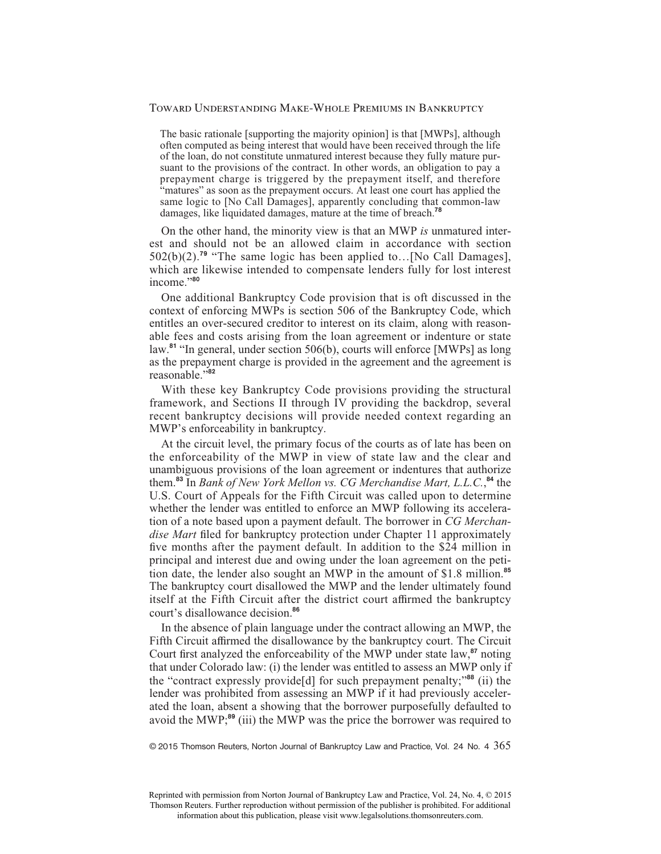The basic rationale [supporting the majority opinion] is that [MWPs], although often computed as being interest that would have been received through the life of the loan, do not constitute unmatured interest because they fully mature pursuant to the provisions of the contract. In other words, an obligation to pay a prepayment charge is triggered by the prepayment itself, and therefore "matures" as soon as the prepayment occurs. At least one court has applied the same logic to [No Call Damages], apparently concluding that common-law damages, like liquidated damages, mature at the time of breach.**<sup>78</sup>**

On the other hand, the minority view is that an MWP *is* unmatured interest and should not be an allowed claim in accordance with section 502(b)(2).**<sup>79</sup>** "The same logic has been applied to…[No Call Damages], which are likewise intended to compensate lenders fully for lost interest income."**<sup>80</sup>**

One additional Bankruptcy Code provision that is oft discussed in the context of enforcing MWPs is section 506 of the Bankruptcy Code, which entitles an over-secured creditor to interest on its claim, along with reasonable fees and costs arising from the loan agreement or indenture or state law.**<sup>81</sup>** "In general, under section 506(b), courts will enforce [MWPs] as long as the prepayment charge is provided in the agreement and the agreement is reasonable."**<sup>82</sup>**

With these key Bankruptcy Code provisions providing the structural framework, and Sections II through IV providing the backdrop, several recent bankruptcy decisions will provide needed context regarding an MWP's enforceability in bankruptcy.

At the circuit level, the primary focus of the courts as of late has been on the enforceability of the MWP in view of state law and the clear and unambiguous provisions of the loan agreement or indentures that authorize them.**<sup>83</sup>** In *Bank of New York Mellon vs. CG Merchandise Mart, L.L.C.*, **<sup>84</sup>** the U.S. Court of Appeals for the Fifth Circuit was called upon to determine whether the lender was entitled to enforce an MWP following its acceleration of a note based upon a payment default. The borrower in *CG Merchan*dise Mart filed for bankruptcy protection under Chapter 11 approximately five months after the payment default. In addition to the \$24 million in principal and interest due and owing under the loan agreement on the petition date, the lender also sought an MWP in the amount of \$1.8 million.**<sup>85</sup>** The bankruptcy court disallowed the MWP and the lender ultimately found itself at the Fifth Circuit after the district court affirmed the bankruptcy court's disallowance decision.**<sup>86</sup>**

In the absence of plain language under the contract allowing an MWP, the Fifth Circuit affirmed the disallowance by the bankruptcy court. The Circuit Court first analyzed the enforceability of the MWP under state law,<sup>87</sup> noting that under Colorado law: (i) the lender was entitled to assess an MWP only if the "contract expressly provide[d] for such prepayment penalty;"**<sup>88</sup>** (ii) the lender was prohibited from assessing an MWP if it had previously accelerated the loan, absent a showing that the borrower purposefully defaulted to avoid the MWP;**<sup>89</sup>** (iii) the MWP was the price the borrower was required to

© 2015 Thomson Reuters, Norton Journal of Bankruptcy Law and Practice, Vol. 24 No. 4 365

Reprinted with permission from Norton Journal of Bankruptcy Law and Practice, Vol. 24, No. 4, © 2015 Thomson Reuters. Further reproduction without permission of the publisher is prohibited. For additional information about this publication, please visit www.legalsolutions.thomsonreuters.com.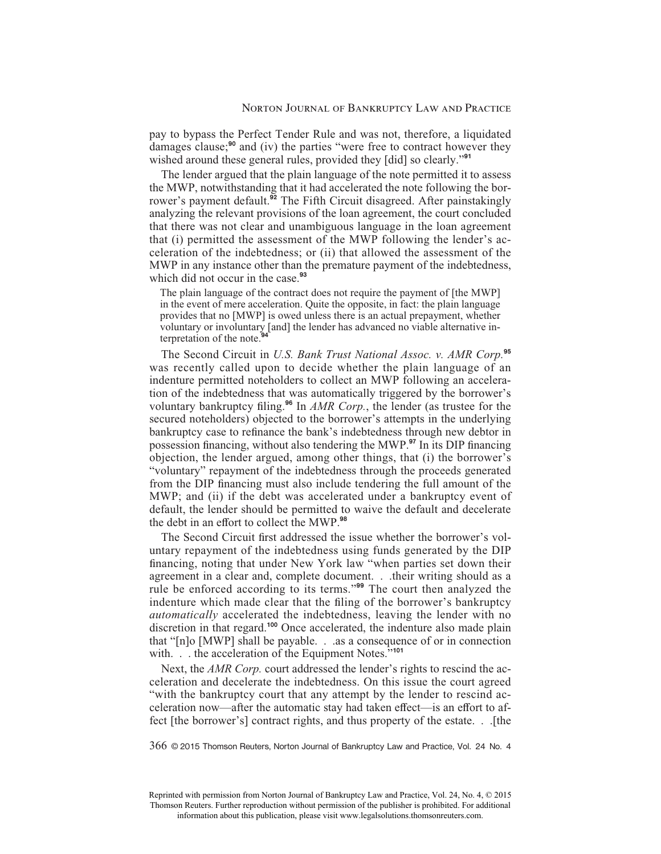pay to bypass the Perfect Tender Rule and was not, therefore, a liquidated damages clause;**<sup>90</sup>** and (iv) the parties "were free to contract however they wished around these general rules, provided they [did] so clearly."**<sup>91</sup>**

The lender argued that the plain language of the note permitted it to assess the MWP, notwithstanding that it had accelerated the note following the borrower's payment default.**<sup>92</sup>** The Fifth Circuit disagreed. After painstakingly analyzing the relevant provisions of the loan agreement, the court concluded that there was not clear and unambiguous language in the loan agreement that (i) permitted the assessment of the MWP following the lender's acceleration of the indebtedness; or (ii) that allowed the assessment of the MWP in any instance other than the premature payment of the indebtedness, which did not occur in the case.**<sup>93</sup>**

The plain language of the contract does not require the payment of [the MWP] in the event of mere acceleration. Quite the opposite, in fact: the plain language provides that no [MWP] is owed unless there is an actual prepayment, whether voluntary or involuntary [and] the lender has advanced no viable alternative interpretation of the note.<sup>9</sup>

The Second Circuit in *U.S. Bank Trust National Assoc. v. AMR Corp.***<sup>95</sup>** was recently called upon to decide whether the plain language of an indenture permitted noteholders to collect an MWP following an acceleration of the indebtedness that was automatically triggered by the borrower's voluntary bankruptcy filing.<sup>96</sup> In *AMR Corp.*, the lender (as trustee for the secured noteholders) objected to the borrower's attempts in the underlying bankruptcy case to refinance the bank's indebtedness through new debtor in possession financing, without also tendering the MWP.<sup>97</sup> In its DIP financing objection, the lender argued, among other things, that (i) the borrower's "voluntary" repayment of the indebtedness through the proceeds generated from the DIP financing must also include tendering the full amount of the MWP; and (ii) if the debt was accelerated under a bankruptcy event of default, the lender should be permitted to waive the default and decelerate the debt in an effort to collect the MWP.<sup>98</sup>

The Second Circuit first addressed the issue whether the borrower's voluntary repayment of the indebtedness using funds generated by the DIP financing, noting that under New York law "when parties set down their agreement in a clear and, complete document. . .their writing should as a rule be enforced according to its terms."**<sup>99</sup>** The court then analyzed the indenture which made clear that the filing of the borrower's bankruptcy *automatically* accelerated the indebtedness, leaving the lender with no discretion in that regard.**<sup>100</sup>** Once accelerated, the indenture also made plain that "[n]o [MWP] shall be payable. . .as a consequence of or in connection with. . . the acceleration of the Equipment Notes.<sup>5,101</sup>

Next, the *AMR Corp.* court addressed the lender's rights to rescind the acceleration and decelerate the indebtedness. On this issue the court agreed "with the bankruptcy court that any attempt by the lender to rescind acceleration now—after the automatic stay had taken effect—is an effort to affect [the borrower's] contract rights, and thus property of the estate. . .[the

366 © 2015 Thomson Reuters, Norton Journal of Bankruptcy Law and Practice, Vol. 24 No. 4

Reprinted with permission from Norton Journal of Bankruptcy Law and Practice, Vol. 24, No. 4, © 2015 Thomson Reuters. Further reproduction without permission of the publisher is prohibited. For additional information about this publication, please visit www.legalsolutions.thomsonreuters.com.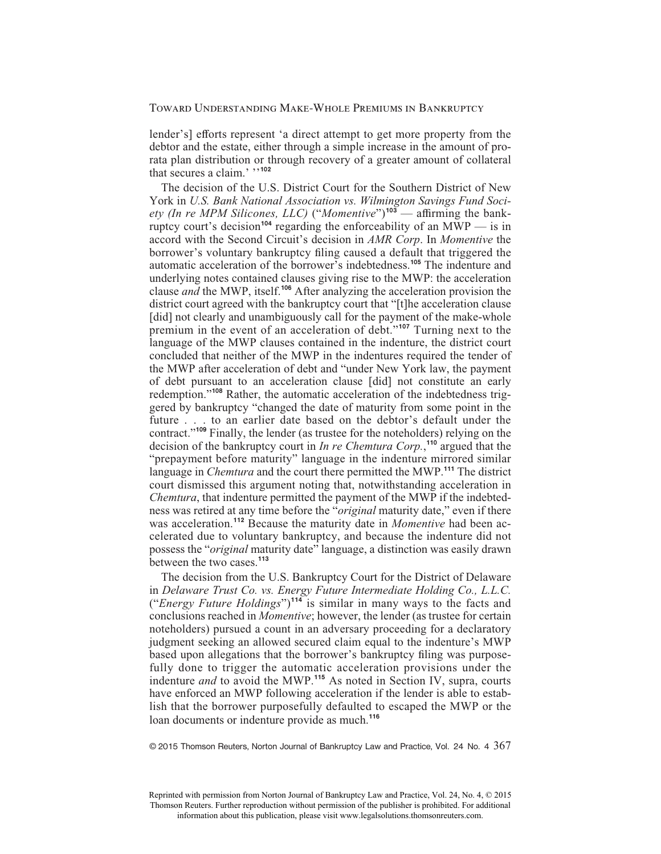lender's] efforts represent 'a direct attempt to get more property from the debtor and the estate, either through a simple increase in the amount of prorata plan distribution or through recovery of a greater amount of collateral that secures a claim.' ''**<sup>102</sup>**

The decision of the U.S. District Court for the Southern District of New York in *U.S. Bank National Association vs. Wilmington Savings Fund Society (In re MPM Silicones, LLC)* ("*Momentive*")<sup>103</sup> — affirming the bankruptcy court's decision<sup>104</sup> regarding the enforceability of an  $MWP$  — is in accord with the Second Circuit's decision in *AMR Corp*. In *Momentive* the borrower's voluntary bankruptcy filing caused a default that triggered the automatic acceleration of the borrower's indebtedness.**<sup>105</sup>** The indenture and underlying notes contained clauses giving rise to the MWP: the acceleration clause *and* the MWP, itself.**<sup>106</sup>** After analyzing the acceleration provision the district court agreed with the bankruptcy court that "[t]he acceleration clause [did] not clearly and unambiguously call for the payment of the make-whole premium in the event of an acceleration of debt."**<sup>107</sup>** Turning next to the language of the MWP clauses contained in the indenture, the district court concluded that neither of the MWP in the indentures required the tender of the MWP after acceleration of debt and "under New York law, the payment of debt pursuant to an acceleration clause [did] not constitute an early redemption."**<sup>108</sup>** Rather, the automatic acceleration of the indebtedness triggered by bankruptcy "changed the date of maturity from some point in the future . . . to an earlier date based on the debtor's default under the contract."**<sup>109</sup>** Finally, the lender (as trustee for the noteholders) relying on the decision of the bankruptcy court in *In re Chemtura Corp.*, **<sup>110</sup>** argued that the "prepayment before maturity" language in the indenture mirrored similar language in *Chemtura* and the court there permitted the MWP.**<sup>111</sup>** The district court dismissed this argument noting that, notwithstanding acceleration in *Chemtura*, that indenture permitted the payment of the MWP if the indebtedness was retired at any time before the "*original* maturity date," even if there was acceleration.**<sup>112</sup>** Because the maturity date in *Momentive* had been accelerated due to voluntary bankruptcy, and because the indenture did not possess the "*original* maturity date" language, a distinction was easily drawn between the two cases.**<sup>113</sup>**

The decision from the U.S. Bankruptcy Court for the District of Delaware in *Delaware Trust Co. vs. Energy Future Intermediate Holding Co., L.L.C.* ("*Energy Future Holdings*")**<sup>114</sup>** is similar in many ways to the facts and conclusions reached in *Momentive*; however, the lender (as trustee for certain noteholders) pursued a count in an adversary proceeding for a declaratory judgment seeking an allowed secured claim equal to the indenture's MWP based upon allegations that the borrower's bankruptcy filing was purposefully done to trigger the automatic acceleration provisions under the indenture *and* to avoid the MWP.**<sup>115</sup>** As noted in Section IV, supra, courts have enforced an MWP following acceleration if the lender is able to establish that the borrower purposefully defaulted to escaped the MWP or the loan documents or indenture provide as much.**<sup>116</sup>**

 $\odot$  2015 Thomson Reuters, Norton Journal of Bankruptcy Law and Practice, Vol. 24 No. 4  $367$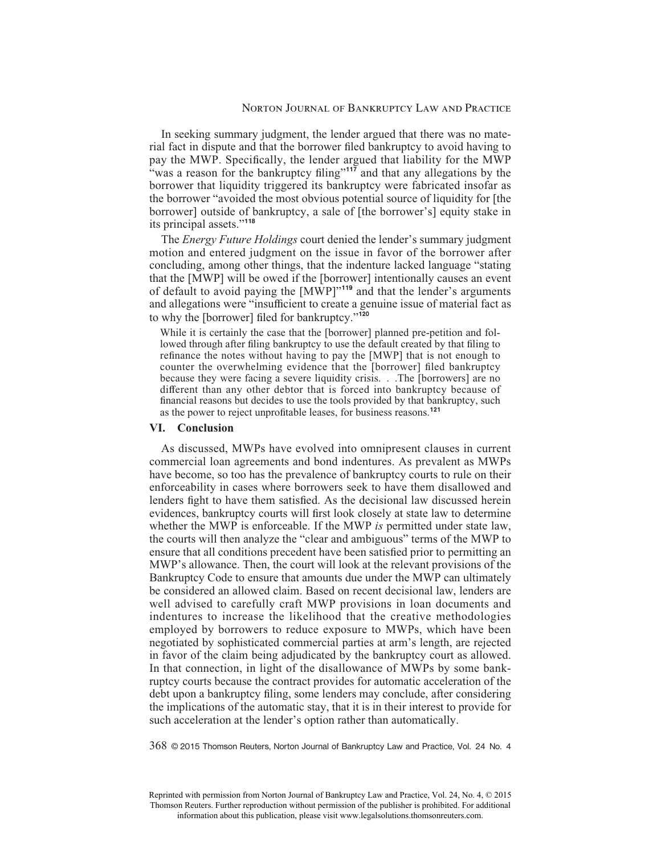In seeking summary judgment, the lender argued that there was no material fact in dispute and that the borrower filed bankruptcy to avoid having to pay the MWP. Specifically, the lender argued that liability for the MWP "was a reason for the bankruptcy filing"<sup>117</sup> and that any allegations by the borrower that liquidity triggered its bankruptcy were fabricated insofar as the borrower "avoided the most obvious potential source of liquidity for [the borrower] outside of bankruptcy, a sale of [the borrower's] equity stake in its principal assets."**<sup>118</sup>**

The *Energy Future Holdings* court denied the lender's summary judgment motion and entered judgment on the issue in favor of the borrower after concluding, among other things, that the indenture lacked language "stating that the [MWP] will be owed if the [borrower] intentionally causes an event of default to avoid paying the [MWP]"**<sup>119</sup>** and that the lender's arguments and allegations were "insufficient to create a genuine issue of material fact as to why the [borrower] filed for bankruptcy."<sup>120</sup>

While it is certainly the case that the [borrower] planned pre-petition and followed through after filing bankruptcy to use the default created by that filing to refinance the notes without having to pay the [MWP] that is not enough to counter the overwhelming evidence that the [borrower] filed bankruptcy because they were facing a severe liquidity crisis. . .The [borrowers] are no different than any other debtor that is forced into bankruptcy because of financial reasons but decides to use the tools provided by that bankruptcy, such as the power to reject unprofitable leases, for business reasons.<sup>121</sup>

#### **VI. Conclusion**

As discussed, MWPs have evolved into omnipresent clauses in current commercial loan agreements and bond indentures. As prevalent as MWPs have become, so too has the prevalence of bankruptcy courts to rule on their enforceability in cases where borrowers seek to have them disallowed and lenders fight to have them satisfied. As the decisional law discussed herein evidences, bankruptcy courts will first look closely at state law to determine whether the MWP is enforceable. If the MWP *is* permitted under state law, the courts will then analyze the "clear and ambiguous" terms of the MWP to ensure that all conditions precedent have been satisfied prior to permitting an MWP's allowance. Then, the court will look at the relevant provisions of the Bankruptcy Code to ensure that amounts due under the MWP can ultimately be considered an allowed claim. Based on recent decisional law, lenders are well advised to carefully craft MWP provisions in loan documents and indentures to increase the likelihood that the creative methodologies employed by borrowers to reduce exposure to MWPs, which have been negotiated by sophisticated commercial parties at arm's length, are rejected in favor of the claim being adjudicated by the bankruptcy court as allowed. In that connection, in light of the disallowance of MWPs by some bankruptcy courts because the contract provides for automatic acceleration of the debt upon a bankruptcy filing, some lenders may conclude, after considering the implications of the automatic stay, that it is in their interest to provide for such acceleration at the lender's option rather than automatically.

368 © 2015 Thomson Reuters, Norton Journal of Bankruptcy Law and Practice, Vol. 24 No. 4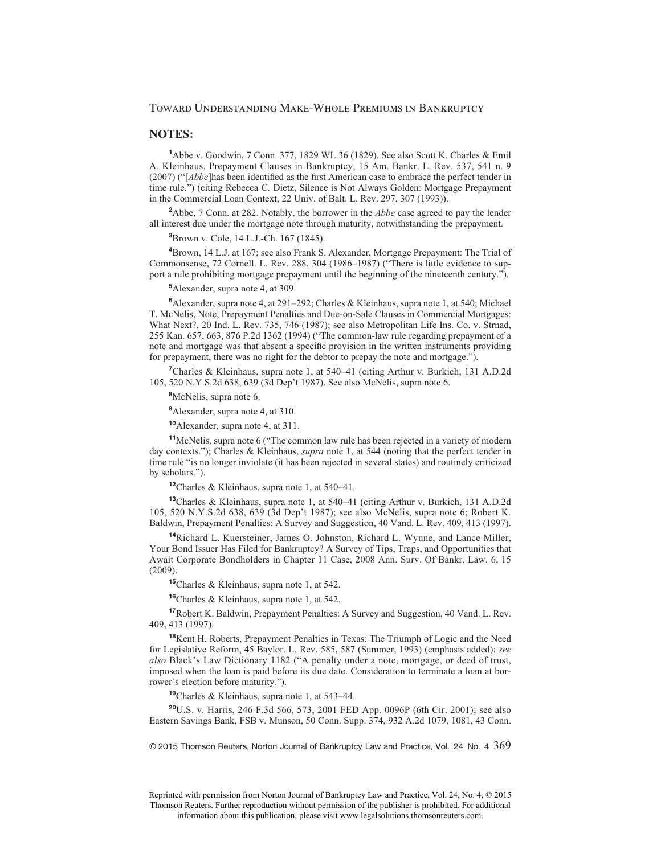#### **NOTES:**

**1** Abbe v. Goodwin, 7 Conn. 377, 1829 WL 36 (1829). See also Scott K. Charles & Emil A. Kleinhaus, Prepayment Clauses in Bankruptcy, 15 Am. Bankr. L. Rev. 537, 541 n. 9  $(2007)$  ("[*Abbe*]has been identified as the first American case to embrace the perfect tender in time rule.") (citing Rebecca C. Dietz, Silence is Not Always Golden: Mortgage Prepayment in the Commercial Loan Context, 22 Univ. of Balt. L. Rev. 297, 307 (1993)).

**2** Abbe, 7 Conn. at 282. Notably, the borrower in the *Abbe* case agreed to pay the lender all interest due under the mortgage note through maturity, notwithstanding the prepayment.

**3** Brown v. Cole, 14 L.J.-Ch. 167 (1845).

**4** Brown, 14 L.J. at 167; see also Frank S. Alexander, Mortgage Prepayment: The Trial of Commonsense, 72 Cornell. L. Rev. 288, 304 (1986–1987) ("There is little evidence to support a rule prohibiting mortgage prepayment until the beginning of the nineteenth century.").

**5** Alexander, supra note 4, at 309.

**6** Alexander, supra note 4, at 291–292; Charles & Kleinhaus, supra note 1, at 540; Michael T. McNelis, Note, Prepayment Penalties and Due-on-Sale Clauses in Commercial Mortgages: What Next?, 20 Ind. L. Rev. 735, 746 (1987); see also Metropolitan Life Ins. Co. v. Strnad, 255 Kan. 657, 663, 876 P.2d 1362 (1994) ("The common-law rule regarding prepayment of a note and mortgage was that absent a specific provision in the written instruments providing for prepayment, there was no right for the debtor to prepay the note and mortgage.").

**7** Charles & Kleinhaus, supra note 1, at 540–41 (citing Arthur v. Burkich, 131 A.D.2d 105, 520 N.Y.S.2d 638, 639 (3d Dep't 1987). See also McNelis, supra note 6.

**8** McNelis, supra note 6.

**9** Alexander, supra note 4, at 310.

**<sup>10</sup>**Alexander, supra note 4, at 311.

**<sup>11</sup>**McNelis, supra note 6 ("The common law rule has been rejected in a variety of modern day contexts."); Charles & Kleinhaus, *supra* note 1, at 544 (noting that the perfect tender in time rule "is no longer inviolate (it has been rejected in several states) and routinely criticized by scholars.").

**<sup>12</sup>**Charles & Kleinhaus, supra note 1, at 540–41.

**<sup>13</sup>**Charles & Kleinhaus, supra note 1, at 540–41 (citing Arthur v. Burkich, 131 A.D.2d 105, 520 N.Y.S.2d 638, 639 (3d Dep't 1987); see also McNelis, supra note 6; Robert K. Baldwin, Prepayment Penalties: A Survey and Suggestion, 40 Vand. L. Rev. 409, 413 (1997).

**<sup>14</sup>**Richard L. Kuersteiner, James O. Johnston, Richard L. Wynne, and Lance Miller, Your Bond Issuer Has Filed for Bankruptcy? A Survey of Tips, Traps, and Opportunities that Await Corporate Bondholders in Chapter 11 Case, 2008 Ann. Surv. Of Bankr. Law. 6, 15 (2009).

**<sup>15</sup>**Charles & Kleinhaus, supra note 1, at 542.

**<sup>16</sup>**Charles & Kleinhaus, supra note 1, at 542.

**<sup>17</sup>**Robert K. Baldwin, Prepayment Penalties: A Survey and Suggestion, 40 Vand. L. Rev. 409, 413 (1997).

**<sup>18</sup>**Kent H. Roberts, Prepayment Penalties in Texas: The Triumph of Logic and the Need for Legislative Reform, 45 Baylor. L. Rev. 585, 587 (Summer, 1993) (emphasis added); *see also* Black's Law Dictionary 1182 ("A penalty under a note, mortgage, or deed of trust, imposed when the loan is paid before its due date. Consideration to terminate a loan at borrower's election before maturity.").

**<sup>19</sup>**Charles & Kleinhaus, supra note 1, at 543–44.

**<sup>20</sup>**U.S. v. Harris, 246 F.3d 566, 573, 2001 FED App. 0096P (6th Cir. 2001); see also Eastern Savings Bank, FSB v. Munson, 50 Conn. Supp. 374, 932 A.2d 1079, 1081, 43 Conn.

 $\odot$  2015 Thomson Reuters, Norton Journal of Bankruptcy Law and Practice, Vol. 24 No. 4  $369$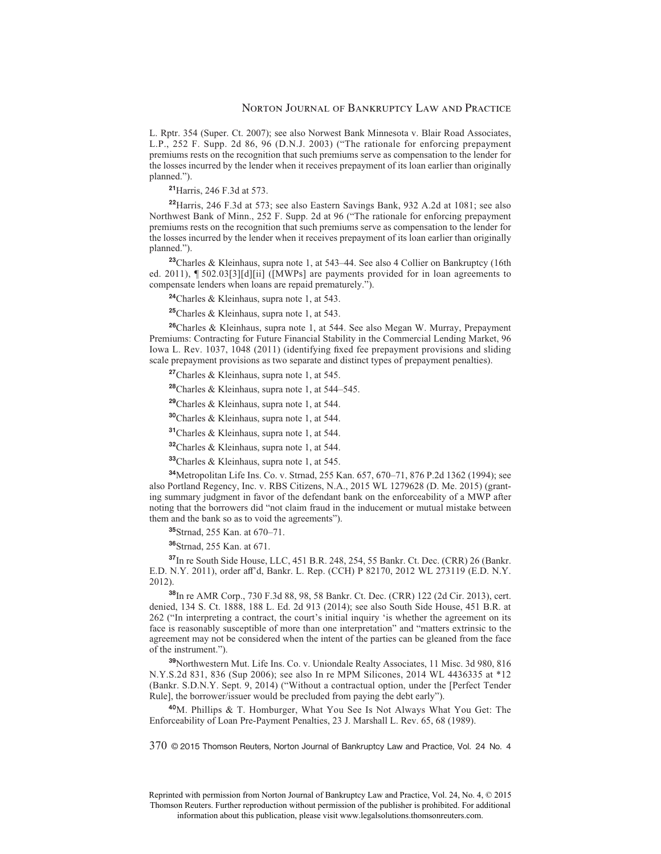L. Rptr. 354 (Super. Ct. 2007); see also Norwest Bank Minnesota v. Blair Road Associates, L.P., 252 F. Supp. 2d 86, 96 (D.N.J. 2003) ("The rationale for enforcing prepayment premiums rests on the recognition that such premiums serve as compensation to the lender for the losses incurred by the lender when it receives prepayment of its loan earlier than originally planned.").

**<sup>21</sup>**Harris, 246 F.3d at 573.

**<sup>22</sup>**Harris, 246 F.3d at 573; see also Eastern Savings Bank, 932 A.2d at 1081; see also Northwest Bank of Minn., 252 F. Supp. 2d at 96 ("The rationale for enforcing prepayment premiums rests on the recognition that such premiums serve as compensation to the lender for the losses incurred by the lender when it receives prepayment of its loan earlier than originally planned.").

**<sup>23</sup>**Charles & Kleinhaus, supra note 1, at 543–44. See also 4 Collier on Bankruptcy (16th ed. 2011), ¶ 502.03[3][d][ii] ([MWPs] are payments provided for in loan agreements to compensate lenders when loans are repaid prematurely.").

**<sup>24</sup>**Charles & Kleinhaus, supra note 1, at 543.

**<sup>25</sup>**Charles & Kleinhaus, supra note 1, at 543.

**<sup>26</sup>**Charles & Kleinhaus, supra note 1, at 544. See also Megan W. Murray, Prepayment Premiums: Contracting for Future Financial Stability in the Commercial Lending Market, 96 Iowa L. Rev. 1037, 1048 (2011) (identifying fixed fee prepayment provisions and sliding scale prepayment provisions as two separate and distinct types of prepayment penalties).

**<sup>27</sup>**Charles & Kleinhaus, supra note 1, at 545.

**<sup>28</sup>**Charles & Kleinhaus, supra note 1, at 544–545.

**<sup>29</sup>**Charles & Kleinhaus, supra note 1, at 544.

**<sup>30</sup>**Charles & Kleinhaus, supra note 1, at 544.

**<sup>31</sup>**Charles & Kleinhaus, supra note 1, at 544.

**<sup>32</sup>**Charles & Kleinhaus, supra note 1, at 544.

**<sup>33</sup>**Charles & Kleinhaus, supra note 1, at 545.

**<sup>34</sup>**Metropolitan Life Ins. Co. v. Strnad, 255 Kan. 657, 670–71, 876 P.2d 1362 (1994); see also Portland Regency, Inc. v. RBS Citizens, N.A., 2015 WL 1279628 (D. Me. 2015) (granting summary judgment in favor of the defendant bank on the enforceability of a MWP after noting that the borrowers did "not claim fraud in the inducement or mutual mistake between them and the bank so as to void the agreements").

**<sup>35</sup>**Strnad, 255 Kan. at 670–71.

**<sup>36</sup>**Strnad, 255 Kan. at 671.

**<sup>37</sup>**In re South Side House, LLC, 451 B.R. 248, 254, 55 Bankr. Ct. Dec. (CRR) 26 (Bankr. E.D. N.Y. 2011), order aff'd, Bankr. L. Rep. (CCH) P 82170, 2012 WL 273119 (E.D. N.Y. 2012).

**<sup>38</sup>**In re AMR Corp., 730 F.3d 88, 98, 58 Bankr. Ct. Dec. (CRR) 122 (2d Cir. 2013), cert. denied, 134 S. Ct. 1888, 188 L. Ed. 2d 913 (2014); see also South Side House, 451 B.R. at 262 ("In interpreting a contract, the court's initial inquiry 'is whether the agreement on its face is reasonably susceptible of more than one interpretation" and "matters extrinsic to the agreement may not be considered when the intent of the parties can be gleaned from the face of the instrument.").

**<sup>39</sup>**Northwestern Mut. Life Ins. Co. v. Uniondale Realty Associates, 11 Misc. 3d 980, 816 N.Y.S.2d 831, 836 (Sup 2006); see also In re MPM Silicones, 2014 WL 4436335 at \*12 (Bankr. S.D.N.Y. Sept. 9, 2014) ("Without a contractual option, under the [Perfect Tender Rule], the borrower/issuer would be precluded from paying the debt early").

**<sup>40</sup>**M. Phillips & T. Homburger, What You See Is Not Always What You Get: The Enforceability of Loan Pre-Payment Penalties, 23 J. Marshall L. Rev. 65, 68 (1989).

370 © 2015 Thomson Reuters, Norton Journal of Bankruptcy Law and Practice, Vol. 24 No. 4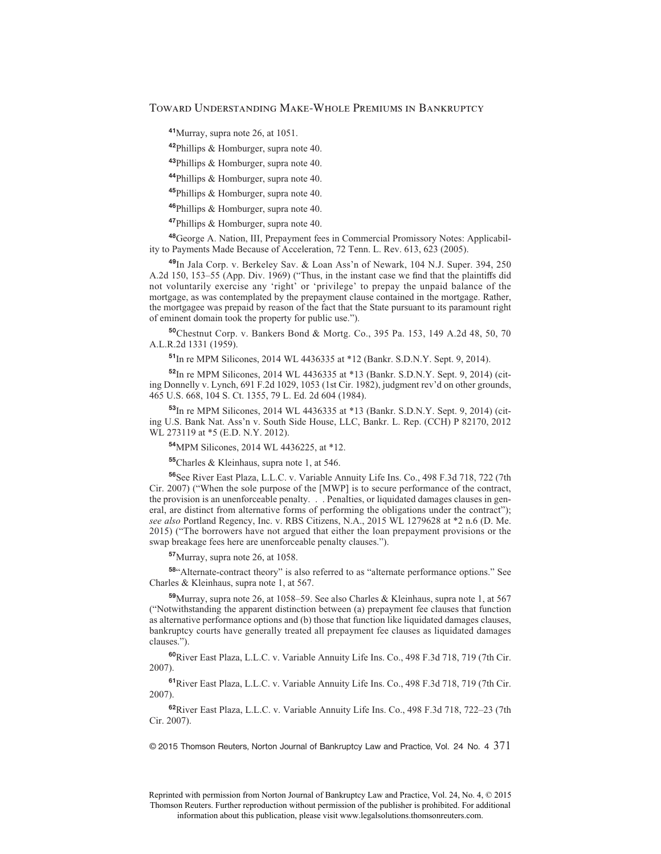**<sup>41</sup>**Murray, supra note 26, at 1051.

**<sup>42</sup>**Phillips & Homburger, supra note 40.

**<sup>43</sup>**Phillips & Homburger, supra note 40.

**<sup>44</sup>**Phillips & Homburger, supra note 40.

**<sup>45</sup>**Phillips & Homburger, supra note 40.

**<sup>46</sup>**Phillips & Homburger, supra note 40.

**<sup>47</sup>**Phillips & Homburger, supra note 40.

**<sup>48</sup>**George A. Nation, III, Prepayment fees in Commercial Promissory Notes: Applicability to Payments Made Because of Acceleration, 72 Tenn. L. Rev. 613, 623 (2005).

**<sup>49</sup>**In Jala Corp. v. Berkeley Sav. & Loan Ass'n of Newark, 104 N.J. Super. 394, 250 A.2d  $150$ ,  $153-55$  (App. Div. 1969) ("Thus, in the instant case we find that the plaintiffs did not voluntarily exercise any 'right' or 'privilege' to prepay the unpaid balance of the mortgage, as was contemplated by the prepayment clause contained in the mortgage. Rather, the mortgagee was prepaid by reason of the fact that the State pursuant to its paramount right of eminent domain took the property for public use.").

**<sup>50</sup>**Chestnut Corp. v. Bankers Bond & Mortg. Co., 395 Pa. 153, 149 A.2d 48, 50, 70 A.L.R.2d 1331 (1959).

**<sup>51</sup>**In re MPM Silicones, 2014 WL 4436335 at \*12 (Bankr. S.D.N.Y. Sept. 9, 2014).

**<sup>52</sup>**In re MPM Silicones, 2014 WL 4436335 at \*13 (Bankr. S.D.N.Y. Sept. 9, 2014) (citing Donnelly v. Lynch, 691 F.2d 1029, 1053 (1st Cir. 1982), judgment rev'd on other grounds, 465 U.S. 668, 104 S. Ct. 1355, 79 L. Ed. 2d 604 (1984).

**<sup>53</sup>**In re MPM Silicones, 2014 WL 4436335 at \*13 (Bankr. S.D.N.Y. Sept. 9, 2014) (citing U.S. Bank Nat. Ass'n v. South Side House, LLC, Bankr. L. Rep. (CCH) P 82170, 2012 WL 273119 at \*5 (E.D. N.Y. 2012).

**<sup>54</sup>**MPM Silicones, 2014 WL 4436225, at \*12.

**<sup>55</sup>**Charles & Kleinhaus, supra note 1, at 546.

**<sup>56</sup>**See River East Plaza, L.L.C. v. Variable Annuity Life Ins. Co., 498 F.3d 718, 722 (7th Cir. 2007) ("When the sole purpose of the [MWP] is to secure performance of the contract, the provision is an unenforceable penalty. . . Penalties, or liquidated damages clauses in general, are distinct from alternative forms of performing the obligations under the contract"); *see also* Portland Regency, Inc. v. RBS Citizens, N.A., 2015 WL 1279628 at \*2 n.6 (D. Me. 2015) ("The borrowers have not argued that either the loan prepayment provisions or the swap breakage fees here are unenforceable penalty clauses.").

**<sup>57</sup>**Murray, supra note 26, at 1058.

**<sup>58</sup>**"Alternate-contract theory" is also referred to as "alternate performance options." See Charles & Kleinhaus, supra note 1, at 567.

**<sup>59</sup>**Murray, supra note 26, at 1058–59. See also Charles & Kleinhaus, supra note 1, at 567 ("Notwithstanding the apparent distinction between (a) prepayment fee clauses that function as alternative performance options and (b) those that function like liquidated damages clauses, bankruptcy courts have generally treated all prepayment fee clauses as liquidated damages clauses.").

**<sup>60</sup>**River East Plaza, L.L.C. v. Variable Annuity Life Ins. Co., 498 F.3d 718, 719 (7th Cir. 2007).

**<sup>61</sup>**River East Plaza, L.L.C. v. Variable Annuity Life Ins. Co., 498 F.3d 718, 719 (7th Cir. 2007).

**<sup>62</sup>**River East Plaza, L.L.C. v. Variable Annuity Life Ins. Co., 498 F.3d 718, 722–23 (7th Cir. 2007).

 $© 2015$  Thomson Reuters, Norton Journal of Bankruptcy Law and Practice, Vol. 24 No. 4  $371$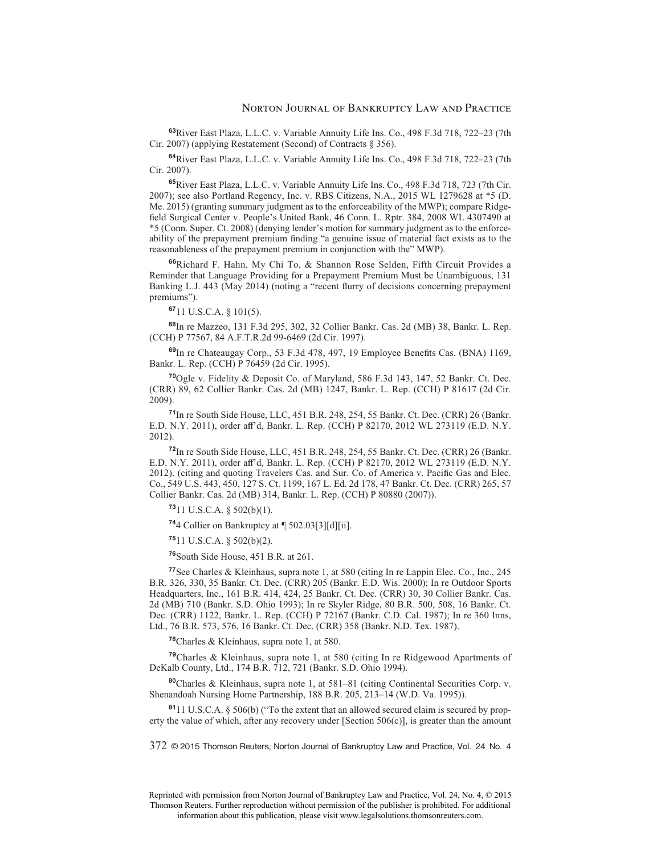**<sup>63</sup>**River East Plaza, L.L.C. v. Variable Annuity Life Ins. Co., 498 F.3d 718, 722–23 (7th Cir. 2007) (applying Restatement (Second) of Contracts § 356).

**<sup>64</sup>**River East Plaza, L.L.C. v. Variable Annuity Life Ins. Co., 498 F.3d 718, 722–23 (7th Cir. 2007).

**<sup>65</sup>**River East Plaza, L.L.C. v. Variable Annuity Life Ins. Co., 498 F.3d 718, 723 (7th Cir. 2007); see also Portland Regency, Inc. v. RBS Citizens, N.A., 2015 WL 1279628 at \*5 (D. Me. 2015) (granting summary judgment as to the enforceability of the MWP); compare Ridge field Surgical Center v. People's United Bank, 46 Conn. L. Rptr. 384, 2008 WL 4307490 at \*5 (Conn. Super. Ct. 2008) (denying lender's motion for summary judgment as to the enforceability of the prepayment premium finding "a genuine issue of material fact exists as to the reasonableness of the prepayment premium in conjunction with the" MWP).

**<sup>66</sup>**Richard F. Hahn, My Chi To, & Shannon Rose Selden, Fifth Circuit Provides a Reminder that Language Providing for a Prepayment Premium Must be Unambiguous, 131 Banking L.J. 443 (May 2014) (noting a "recent flurry of decisions concerning prepayment premiums").

**<sup>67</sup>**11 U.S.C.A. § 101(5).

**<sup>68</sup>**In re Mazzeo, 131 F.3d 295, 302, 32 Collier Bankr. Cas. 2d (MB) 38, Bankr. L. Rep. (CCH) P 77567, 84 A.F.T.R.2d 99-6469 (2d Cir. 1997).

69In re Chateaugay Corp., 53 F.3d 478, 497, 19 Employee Benefits Cas. (BNA) 1169, Bankr. L. Rep. (CCH) P 76459 (2d Cir. 1995).

**<sup>70</sup>**Ogle v. Fidelity & Deposit Co. of Maryland, 586 F.3d 143, 147, 52 Bankr. Ct. Dec. (CRR) 89, 62 Collier Bankr. Cas. 2d (MB) 1247, Bankr. L. Rep. (CCH) P 81617 (2d Cir. 2009).

**<sup>71</sup>**In re South Side House, LLC, 451 B.R. 248, 254, 55 Bankr. Ct. Dec. (CRR) 26 (Bankr. E.D. N.Y. 2011), order aff'd, Bankr. L. Rep. (CCH) P 82170, 2012 WL 273119 (E.D. N.Y. 2012).

**<sup>72</sup>**In re South Side House, LLC, 451 B.R. 248, 254, 55 Bankr. Ct. Dec. (CRR) 26 (Bankr. E.D. N.Y. 2011), order aff'd, Bankr. L. Rep. (CCH) P 82170, 2012 WL 273119 (E.D. N.Y. 2012). (citing and quoting Travelers Cas. and Sur. Co. of America v. Pacific Gas and Elec. Co., 549 U.S. 443, 450, 127 S. Ct. 1199, 167 L. Ed. 2d 178, 47 Bankr. Ct. Dec. (CRR) 265, 57 Collier Bankr. Cas. 2d (MB) 314, Bankr. L. Rep. (CCH) P 80880 (2007)).

**<sup>73</sup>**11 U.S.C.A. § 502(b)(1).

**<sup>74</sup>**4 Collier on Bankruptcy at ¶ 502.03[3][d][ii].

**<sup>75</sup>**11 U.S.C.A. § 502(b)(2).

**<sup>76</sup>**South Side House, 451 B.R. at 261.

**<sup>77</sup>**See Charles & Kleinhaus, supra note 1, at 580 (citing In re Lappin Elec. Co., Inc., 245 B.R. 326, 330, 35 Bankr. Ct. Dec. (CRR) 205 (Bankr. E.D. Wis. 2000); In re Outdoor Sports Headquarters, Inc., 161 B.R. 414, 424, 25 Bankr. Ct. Dec. (CRR) 30, 30 Collier Bankr. Cas. 2d (MB) 710 (Bankr. S.D. Ohio 1993); In re Skyler Ridge, 80 B.R. 500, 508, 16 Bankr. Ct. Dec. (CRR) 1122, Bankr. L. Rep. (CCH) P 72167 (Bankr. C.D. Cal. 1987); In re 360 Inns, Ltd., 76 B.R. 573, 576, 16 Bankr. Ct. Dec. (CRR) 358 (Bankr. N.D. Tex. 1987).

**<sup>78</sup>**Charles & Kleinhaus, supra note 1, at 580.

**<sup>79</sup>**Charles & Kleinhaus, supra note 1, at 580 (citing In re Ridgewood Apartments of DeKalb County, Ltd., 174 B.R. 712, 721 (Bankr. S.D. Ohio 1994).

**<sup>80</sup>**Charles & Kleinhaus, supra note 1, at 581–81 (citing Continental Securities Corp. v. Shenandoah Nursing Home Partnership, 188 B.R. 205, 213–14 (W.D. Va. 1995)).

**<sup>81</sup>**11 U.S.C.A. § 506(b) ("To the extent that an allowed secured claim is secured by property the value of which, after any recovery under  $[Section 506(c)]$ , is greater than the amount

372 © 2015 Thomson Reuters, Norton Journal of Bankruptcy Law and Practice, Vol. 24 No. 4

Reprinted with permission from Norton Journal of Bankruptcy Law and Practice, Vol. 24, No. 4, © 2015 Thomson Reuters. Further reproduction without permission of the publisher is prohibited. For additional information about this publication, please visit www.legalsolutions.thomsonreuters.com.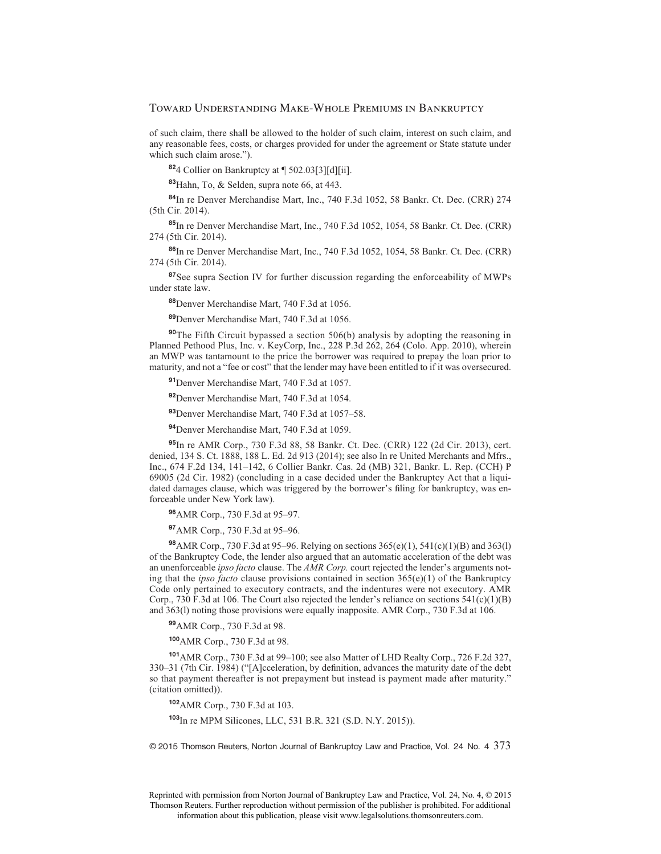of such claim, there shall be allowed to the holder of such claim, interest on such claim, and any reasonable fees, costs, or charges provided for under the agreement or State statute under which such claim arose.").

**<sup>82</sup>**4 Collier on Bankruptcy at ¶ 502.03[3][d][ii].

**<sup>83</sup>**Hahn, To, & Selden, supra note 66, at 443.

**<sup>84</sup>**In re Denver Merchandise Mart, Inc., 740 F.3d 1052, 58 Bankr. Ct. Dec. (CRR) 274 (5th Cir. 2014).

**<sup>85</sup>**In re Denver Merchandise Mart, Inc., 740 F.3d 1052, 1054, 58 Bankr. Ct. Dec. (CRR) 274 (5th Cir. 2014).

**<sup>86</sup>**In re Denver Merchandise Mart, Inc., 740 F.3d 1052, 1054, 58 Bankr. Ct. Dec. (CRR) 274 (5th Cir. 2014).

**<sup>87</sup>**See supra Section IV for further discussion regarding the enforceability of MWPs under state law.

**<sup>88</sup>**Denver Merchandise Mart, 740 F.3d at 1056.

**<sup>89</sup>**Denver Merchandise Mart, 740 F.3d at 1056.

**<sup>90</sup>**The Fifth Circuit bypassed a section 506(b) analysis by adopting the reasoning in Planned Pethood Plus, Inc. v. KeyCorp, Inc., 228 P.3d 262, 264 (Colo. App. 2010), wherein an MWP was tantamount to the price the borrower was required to prepay the loan prior to maturity, and not a "fee or cost" that the lender may have been entitled to if it was oversecured.

**<sup>91</sup>**Denver Merchandise Mart, 740 F.3d at 1057.

**<sup>92</sup>**Denver Merchandise Mart, 740 F.3d at 1054.

**<sup>93</sup>**Denver Merchandise Mart, 740 F.3d at 1057–58.

**<sup>94</sup>**Denver Merchandise Mart, 740 F.3d at 1059.

**<sup>95</sup>**In re AMR Corp., 730 F.3d 88, 58 Bankr. Ct. Dec. (CRR) 122 (2d Cir. 2013), cert. denied, 134 S. Ct. 1888, 188 L. Ed. 2d 913 (2014); see also In re United Merchants and Mfrs., Inc., 674 F.2d 134, 141–142, 6 Collier Bankr. Cas. 2d (MB) 321, Bankr. L. Rep. (CCH) P 69005 (2d Cir. 1982) (concluding in a case decided under the Bankruptcy Act that a liquidated damages clause, which was triggered by the borrower's filing for bankruptcy, was enforceable under New York law).

**<sup>96</sup>**AMR Corp., 730 F.3d at 95–97.

**<sup>97</sup>**AMR Corp., 730 F.3d at 95–96.

**<sup>98</sup>**AMR Corp., 730 F.3d at 95–96. Relying on sections 365(e)(1), 541(c)(1)(B) and 363(l) of the Bankruptcy Code, the lender also argued that an automatic acceleration of the debt was an unenforceable *ipso facto* clause. The *AMR Corp.* court rejected the lender's arguments noting that the *ipso facto* clause provisions contained in section  $365(e)(1)$  of the Bankruptcy Code only pertained to executory contracts, and the indentures were not executory. AMR Corp., 730 F.3d at 106. The Court also rejected the lender's reliance on sections 541(c)(1)(B) and 363(l) noting those provisions were equally inapposite. AMR Corp., 730 F.3d at 106.

**<sup>99</sup>**AMR Corp., 730 F.3d at 98.

**<sup>100</sup>**AMR Corp., 730 F.3d at 98.

**<sup>101</sup>**AMR Corp., 730 F.3d at 99–100; see also Matter of LHD Realty Corp., 726 F.2d 327, 330–31 (7th Cir. 1984) ("[A]cceleration, by definition, advances the maturity date of the debt so that payment thereafter is not prepayment but instead is payment made after maturity." (citation omitted)).

**<sup>102</sup>**AMR Corp., 730 F.3d at 103.

**<sup>103</sup>**In re MPM Silicones, LLC, 531 B.R. 321 (S.D. N.Y. 2015)).

© 2015 Thomson Reuters, Norton Journal of Bankruptcy Law and Practice, Vol. 24 No. 4 373